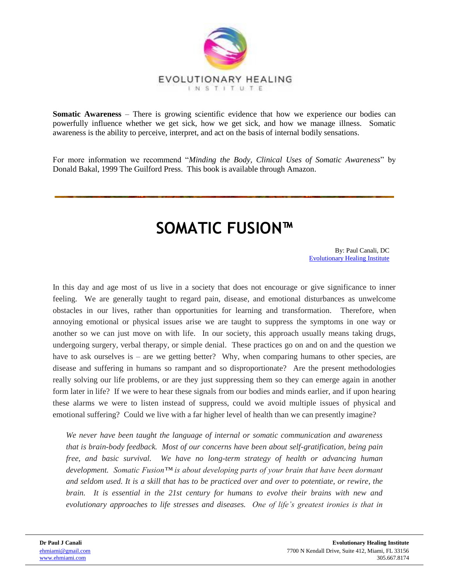

**Somatic Awareness** – There is growing scientific evidence that how we experience our bodies can powerfully influence whether we get sick, how we get sick, and how we manage illness. Somatic awareness is the ability to perceive, interpret, and act on the basis of internal bodily sensations.

For more information we recommend "*Minding the Body, Clinical Uses of Somatic Awareness*" by Donald Bakal, 1999 The Guilford Press. This book is available through Amazon.

# **SOMATIC FUSION™**

By: Paul Canali, DC [Evolutionary Healing Institute](http://www.evolutionaryhealinginstitute.com/)

In this day and age most of us live in a society that does not encourage or give significance to inner feeling. We are generally taught to regard pain, disease, and emotional disturbances as unwelcome obstacles in our lives, rather than opportunities for learning and transformation. Therefore, when annoying emotional or physical issues arise we are taught to suppress the symptoms in one way or another so we can just move on with life. In our society, this approach usually means taking drugs, undergoing surgery, verbal therapy, or simple denial. These practices go on and on and the question we have to ask ourselves is – are we getting better? Why, when comparing humans to other species, are disease and suffering in humans so rampant and so disproportionate? Are the present methodologies really solving our life problems, or are they just suppressing them so they can emerge again in another form later in life? If we were to hear these signals from our bodies and minds earlier, and if upon hearing these alarms we were to listen instead of suppress, could we avoid multiple issues of physical and emotional suffering? Could we live with a far higher level of health than we can presently imagine?

*We never have been taught the language of internal or somatic communication and awareness that is brain-body feedback. Most of our concerns have been about self-gratification, being pain free, and basic survival. We have no long-term strategy of health or advancing human development. Somatic Fusion™ is about developing parts of your brain that have been dormant and seldom used. It is a skill that has to be practiced over and over to potentiate, or rewire, the brain. It is essential in the 21st century for humans to evolve their brains with new and evolutionary approaches to life stresses and diseases. One of life's greatest ironies is that in*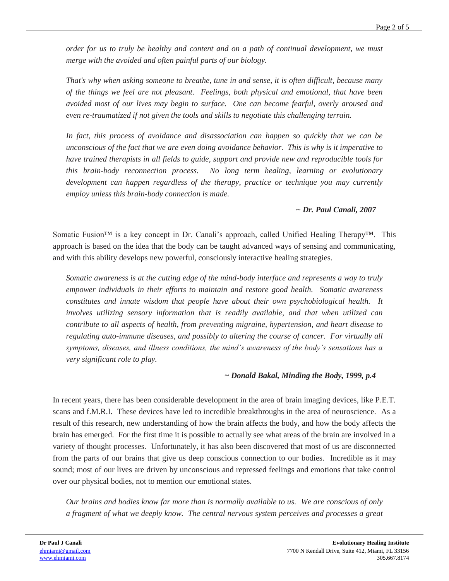*order for us to truly be healthy and content and on a path of continual development, we must merge with the avoided and often painful parts of our biology.*

*That's why when asking someone to breathe, tune in and sense, it is often difficult, because many of the things we feel are not pleasant. Feelings, both physical and emotional, that have been avoided most of our lives may begin to surface. One can become fearful, overly aroused and even re-traumatized if not given the tools and skills to negotiate this challenging terrain.*

In fact, this process of avoidance and disassociation can happen so quickly that we can be *unconscious of the fact that we are even doing avoidance behavior. This is why is it imperative to have trained therapists in all fields to guide, support and provide new and reproducible tools for this brain-body reconnection process. No long term healing, learning or evolutionary development can happen regardless of the therapy, practice or technique you may currently employ unless this brain-body connection is made.*

# *~ Dr. Paul Canali, 2007*

Somatic Fusion<sup>™</sup> is a key concept in Dr. Canali's approach, called Unified Healing Therapy™. This approach is based on the idea that the body can be taught advanced ways of sensing and communicating, and with this ability develops new powerful, consciously interactive healing strategies.

*Somatic awareness is at the cutting edge of the mind-body interface and represents a way to truly empower individuals in their efforts to maintain and restore good health. Somatic awareness constitutes and innate wisdom that people have about their own psychobiological health. It involves utilizing sensory information that is readily available, and that when utilized can contribute to all aspects of health, from preventing migraine, hypertension, and heart disease to regulating auto-immune diseases, and possibly to altering the course of cancer. For virtually all symptoms, diseases, and illness conditions, the mind's awareness of the body's sensations has a very significant role to play.*

### *~ Donald Bakal, Minding the Body, 1999, p.4*

In recent years, there has been considerable development in the area of brain imaging devices, like P.E.T. scans and f.M.R.I. These devices have led to incredible breakthroughs in the area of neuroscience. As a result of this research, new understanding of how the brain affects the body, and how the body affects the brain has emerged. For the first time it is possible to actually see what areas of the brain are involved in a variety of thought processes. Unfortunately, it has also been discovered that most of us are disconnected from the parts of our brains that give us deep conscious connection to our bodies. Incredible as it may sound; most of our lives are driven by unconscious and repressed feelings and emotions that take control over our physical bodies, not to mention our emotional states.

*Our brains and bodies know far more than is normally available to us. We are conscious of only a fragment of what we deeply know. The central nervous system perceives and processes a great*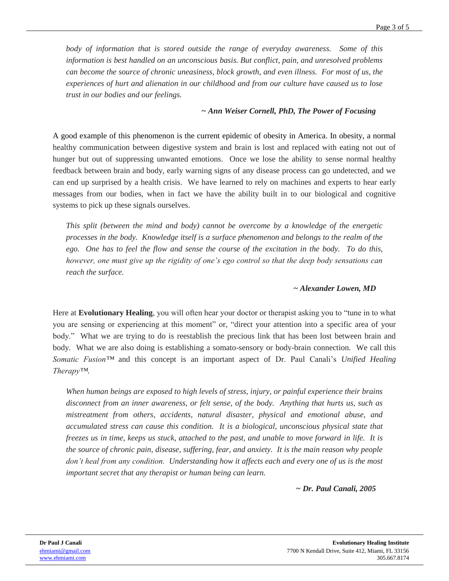*body of information that is stored outside the range of everyday awareness. Some of this information is best handled on an unconscious basis. But conflict, pain, and unresolved problems can become the source of chronic uneasiness, block growth, and even illness. For most of us, the experiences of hurt and alienation in our childhood and from our culture have caused us to lose trust in our bodies and our feelings.*

### *~ Ann Weiser Cornell, PhD, The Power of Focusing*

A good example of this phenomenon is the current epidemic of obesity in America. In obesity, a normal healthy communication between digestive system and brain is lost and replaced with eating not out of hunger but out of suppressing unwanted emotions. Once we lose the ability to sense normal healthy feedback between brain and body, early warning signs of any disease process can go undetected, and we can end up surprised by a health crisis. We have learned to rely on machines and experts to hear early messages from our bodies, when in fact we have the ability built in to our biological and cognitive systems to pick up these signals ourselves.

*This split (between the mind and body) cannot be overcome by a knowledge of the energetic processes in the body. Knowledge itself is a surface phenomenon and belongs to the realm of the ego. One has to feel the flow and sense the course of the excitation in the body. To do this, however, one must give up the rigidity of one's ego control so that the deep body sensations can reach the surface.*

# *~ Alexander Lowen, MD*

Here at **Evolutionary Healing**, you will often hear your doctor or therapist asking you to "tune in to what you are sensing or experiencing at this moment" or, "direct your attention into a specific area of your body." What we are trying to do is reestablish the precious link that has been lost between brain and body. What we are also doing is establishing a somato-sensory or body-brain connection. We call this *Somatic Fusion™* and this concept is an important aspect of Dr. Paul Canali's *Unified Healing Therapy™*.

*When human beings are exposed to high levels of stress, injury, or painful experience their brains disconnect from an inner awareness, or felt sense, of the body. Anything that hurts us, such as mistreatment from others, accidents, natural disaster, physical and emotional abuse, and accumulated stress can cause this condition. It is a biological, unconscious physical state that freezes us in time, keeps us stuck, attached to the past, and unable to move forward in life. It is the source of chronic pain, disease, suffering, fear, and anxiety. It is the main reason why people*  don't heal from any condition. Understanding how it affects each and every one of us is the most *important secret that any therapist or human being can learn.*

*~ Dr. Paul Canali, 2005*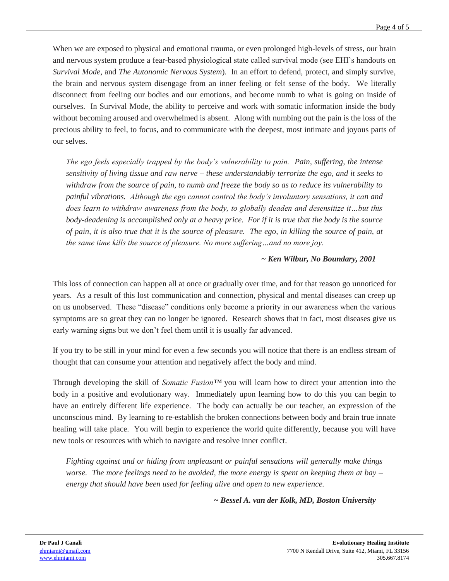When we are exposed to physical and emotional trauma, or even prolonged high-levels of stress, our brain and nervous system produce a fear-based physiological state called survival mode (see EHI's handouts on *Survival Mode*, and *The Autonomic Nervous System*). In an effort to defend, protect, and simply survive, the brain and nervous system disengage from an inner feeling or felt sense of the body. We literally disconnect from feeling our bodies and our emotions, and become numb to what is going on inside of ourselves. In Survival Mode, the ability to perceive and work with somatic information inside the body without becoming aroused and overwhelmed is absent. Along with numbing out the pain is the loss of the precious ability to feel, to focus, and to communicate with the deepest, most intimate and joyous parts of our selves.

*The ego feels especially trapped by the body's vulnerability to pain. Pain, suffering, the intense sensitivity of living tissue and raw nerve – these understandably terrorize the ego, and it seeks to withdraw from the source of pain, to numb and freeze the body so as to reduce its vulnerability to painful vibrations. Although the ego cannot control the body's involuntary sensations, it can and does learn to withdraw awareness from the body, to globally deaden and desensitize it…but this body-deadening is accomplished only at a heavy price. For if it is true that the body is the source of pain, it is also true that it is the source of pleasure. The ego, in killing the source of pain, at the same time kills the source of pleasure. No more suffering…and no more joy.*

#### *~ Ken Wilbur, No Boundary, 2001*

This loss of connection can happen all at once or gradually over time, and for that reason go unnoticed for years. As a result of this lost communication and connection, physical and mental diseases can creep up on us unobserved. These "disease" conditions only become a priority in our awareness when the various symptoms are so great they can no longer be ignored. Research shows that in fact, most diseases give us early warning signs but we don't feel them until it is usually far advanced.

If you try to be still in your mind for even a few seconds you will notice that there is an endless stream of thought that can consume your attention and negatively affect the body and mind.

Through developing the skill of *Somatic Fusion™* you will learn how to direct your attention into the body in a positive and evolutionary way. Immediately upon learning how to do this you can begin to have an entirely different life experience. The body can actually be our teacher, an expression of the unconscious mind. By learning to re-establish the broken connections between body and brain true innate healing will take place. You will begin to experience the world quite differently, because you will have new tools or resources with which to navigate and resolve inner conflict.

*Fighting against and or hiding from unpleasant or painful sensations will generally make things worse. The more feelings need to be avoided, the more energy is spent on keeping them at bay – energy that should have been used for feeling alive and open to new experience.*

*~ Bessel A. van der Kolk, MD, Boston University*